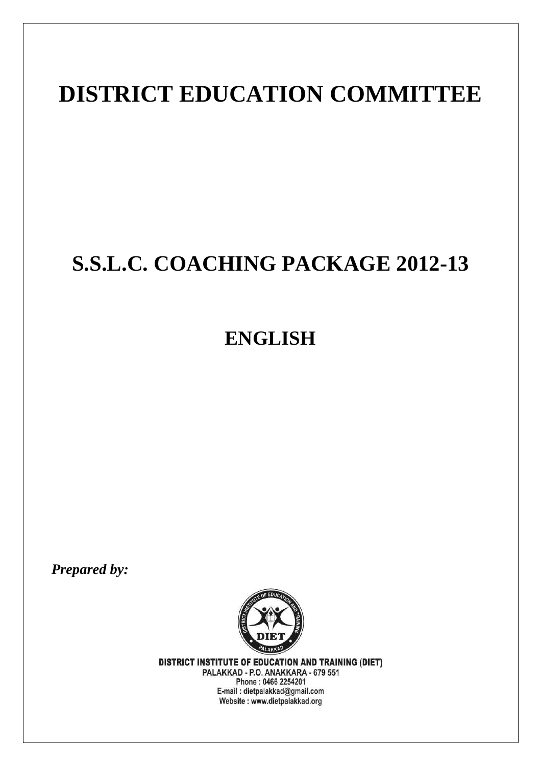# **DISTRICT EDUCATION COMMITTEE**

# **S.S.L.C. COACHING PACKAGE 2012-13**

## **ENGLISH**

*Prepared by:* 



DISTRICT INSTITUTE OF EDUCATION AND TRAINING (DIET) PALAKKAD - P.O. ANAKKARA - 679 551 Phone: 0466 2254201 E-mail: dietpalakkad@gmail.com Website: www.dietpalakkad.org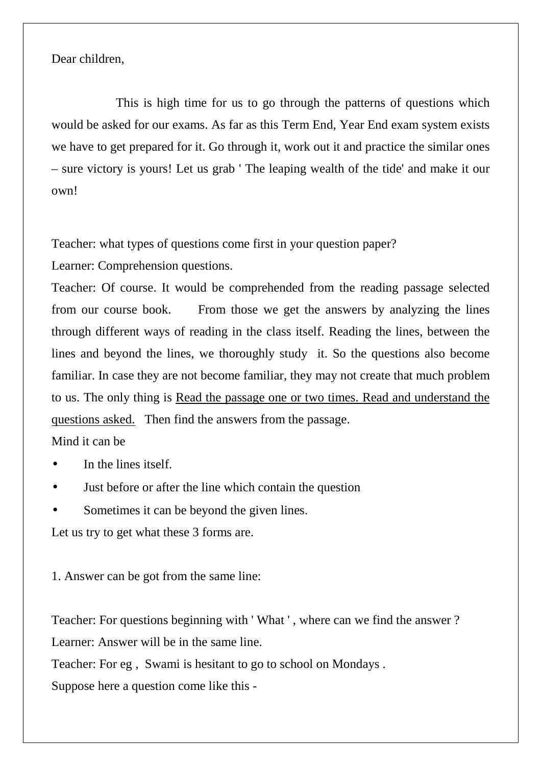Dear children,

 This is high time for us to go through the patterns of questions which would be asked for our exams. As far as this Term End, Year End exam system exists we have to get prepared for it. Go through it, work out it and practice the similar ones – sure victory is yours! Let us grab ' The leaping wealth of the tide' and make it our own!

Teacher: what types of questions come first in your question paper?

Learner: Comprehension questions.

Teacher: Of course. It would be comprehended from the reading passage selected from our course book. From those we get the answers by analyzing the lines through different ways of reading in the class itself. Reading the lines, between the lines and beyond the lines, we thoroughly study it. So the questions also become familiar. In case they are not become familiar, they may not create that much problem to us. The only thing is Read the passage one or two times. Read and understand the questions asked. Then find the answers from the passage.

Mind it can be

- In the lines itself.
- Just before or after the line which contain the question
- Sometimes it can be beyond the given lines.

Let us try to get what these 3 forms are.

1. Answer can be got from the same line:

Teacher: For questions beginning with ' What ' , where can we find the answer ? Learner: Answer will be in the same line.

Teacher: For eg , Swami is hesitant to go to school on Mondays .

Suppose here a question come like this -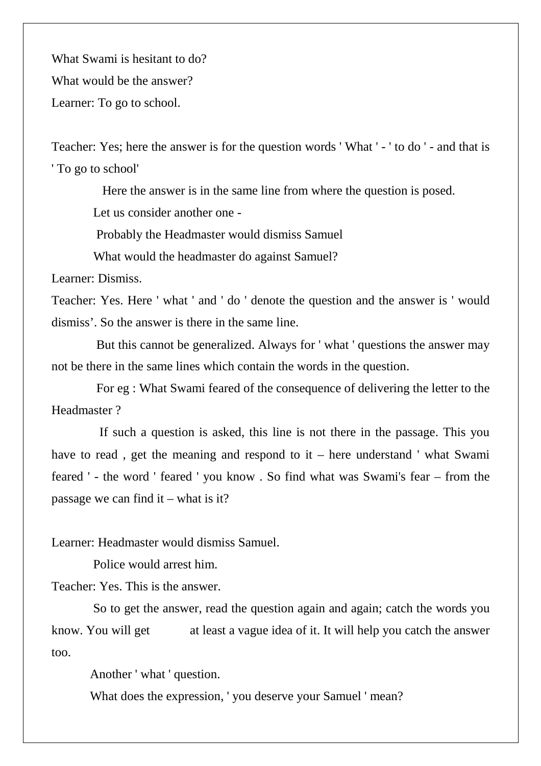What Swami is hesitant to do? What would be the answer? Learner: To go to school.

Teacher: Yes; here the answer is for the question words ' What ' - ' to do ' - and that is ' To go to school'

Here the answer is in the same line from where the question is posed.

Let us consider another one -

Probably the Headmaster would dismiss Samuel

What would the headmaster do against Samuel?

Learner: Dismiss.

Teacher: Yes. Here ' what ' and ' do ' denote the question and the answer is ' would dismiss'. So the answer is there in the same line.

 But this cannot be generalized. Always for ' what ' questions the answer may not be there in the same lines which contain the words in the question.

 For eg : What Swami feared of the consequence of delivering the letter to the Headmaster ?

 If such a question is asked, this line is not there in the passage. This you have to read, get the meaning and respond to it – here understand ' what Swami feared ' - the word ' feared ' you know . So find what was Swami's fear – from the passage we can find it – what is it?

Learner: Headmaster would dismiss Samuel.

Police would arrest him.

Teacher: Yes. This is the answer.

 So to get the answer, read the question again and again; catch the words you know. You will get at least a vague idea of it. It will help you catch the answer too.

Another ' what ' question.

What does the expression, ' you deserve your Samuel ' mean?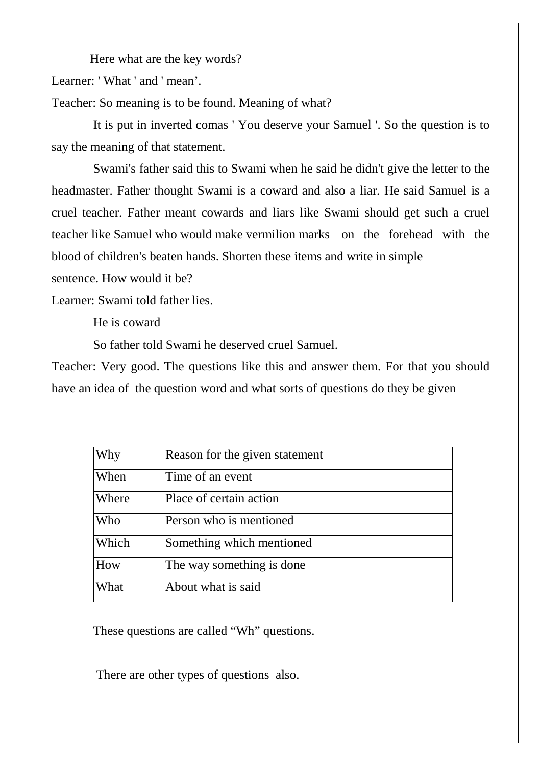Here what are the key words?

Learner: 'What ' and ' mean'.

Teacher: So meaning is to be found. Meaning of what?

 It is put in inverted comas ' You deserve your Samuel '. So the question is to say the meaning of that statement.

 Swami's father said this to Swami when he said he didn't give the letter to the headmaster. Father thought Swami is a coward and also a liar. He said Samuel is a cruel teacher. Father meant cowards and liars like Swami should get such a cruel teacher like Samuel who would make vermilion marks on the forehead with the blood of children's beaten hands. Shorten these items and write in simple

sentence. How would it be?

Learner: Swami told father lies.

He is coward

So father told Swami he deserved cruel Samuel.

Teacher: Very good. The questions like this and answer them. For that you should have an idea of the question word and what sorts of questions do they be given

| Why   | Reason for the given statement |
|-------|--------------------------------|
| When  | Time of an event               |
| Where | Place of certain action        |
| Who   | Person who is mentioned        |
| Which | Something which mentioned      |
| How   | The way something is done      |
| What  | About what is said             |

These questions are called "Wh" questions.

There are other types of questions also.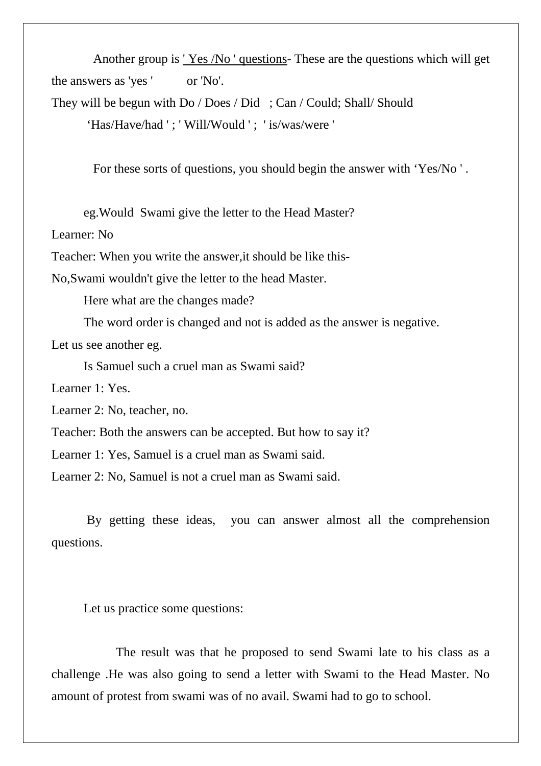Another group is ' Yes /No ' questions- These are the questions which will get the answers as 'yes ' or 'No'. They will be begun with Do / Does / Did ; Can / Could; Shall/ Should

'Has/Have/had ' ; ' Will/Would ' ; ' is/was/were '

For these sorts of questions, you should begin the answer with 'Yes/No ' .

eg.Would Swami give the letter to the Head Master?

Learner: No

Teacher: When you write the answer,it should be like this-

No,Swami wouldn't give the letter to the head Master.

Here what are the changes made?

The word order is changed and not is added as the answer is negative.

Let us see another eg.

Is Samuel such a cruel man as Swami said?

Learner 1: Yes.

Learner 2: No, teacher, no.

Teacher: Both the answers can be accepted. But how to say it?

Learner 1: Yes, Samuel is a cruel man as Swami said.

Learner 2: No, Samuel is not a cruel man as Swami said.

 By getting these ideas, you can answer almost all the comprehension questions.

Let us practice some questions:

 The result was that he proposed to send Swami late to his class as a challenge .He was also going to send a letter with Swami to the Head Master. No amount of protest from swami was of no avail. Swami had to go to school.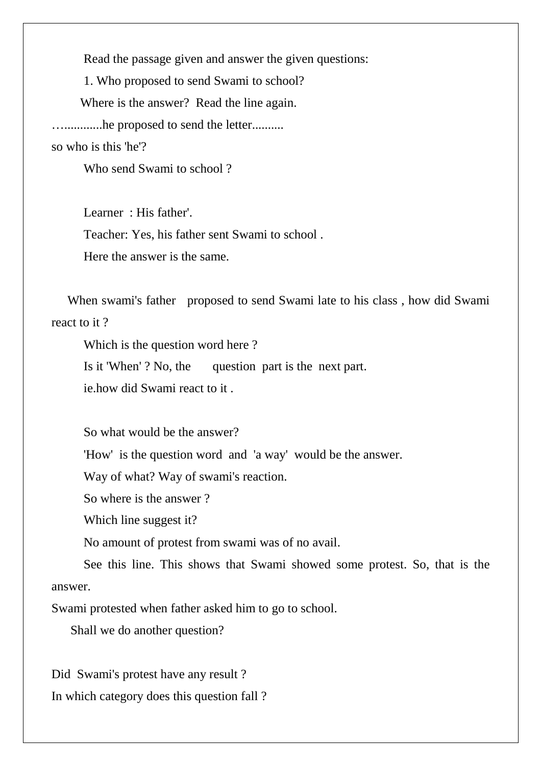Read the passage given and answer the given questions:

1. Who proposed to send Swami to school?

Where is the answer? Read the line again.

…............he proposed to send the letter..........

so who is this 'he'?

Who send Swami to school ?

Learner : His father'.

Teacher: Yes, his father sent Swami to school .

Here the answer is the same.

When swami's father proposed to send Swami late to his class, how did Swami react to it ?

Which is the question word here ?

Is it 'When' ? No, the question part is the next part.

ie.how did Swami react to it .

So what would be the answer?

'How' is the question word and 'a way' would be the answer.

Way of what? Way of swami's reaction.

So where is the answer ?

Which line suggest it?

No amount of protest from swami was of no avail.

 See this line. This shows that Swami showed some protest. So, that is the answer.

Swami protested when father asked him to go to school.

Shall we do another question?

Did Swami's protest have any result ?

In which category does this question fall ?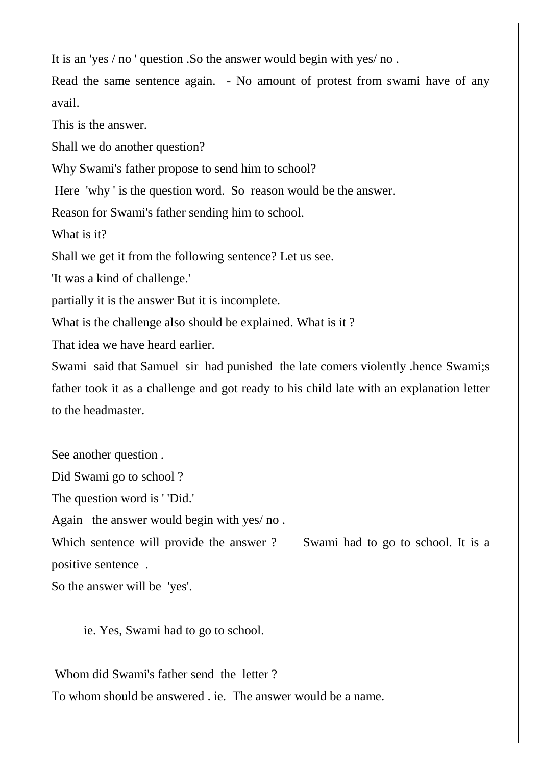It is an 'yes / no ' question .So the answer would begin with yes/ no .

Read the same sentence again. - No amount of protest from swami have of any avail.

This is the answer.

Shall we do another question?

Why Swami's father propose to send him to school?

Here 'why ' is the question word. So reason would be the answer.

Reason for Swami's father sending him to school.

What is it?

Shall we get it from the following sentence? Let us see.

'It was a kind of challenge.'

partially it is the answer But it is incomplete.

What is the challenge also should be explained. What is it ?

That idea we have heard earlier.

Swami said that Samuel sir had punished the late comers violently .hence Swami;s father took it as a challenge and got ready to his child late with an explanation letter to the headmaster.

See another question .

Did Swami go to school ?

The question word is ' 'Did.'

Again the answer would begin with yes/ no .

Which sentence will provide the answer? Swami had to go to school. It is a positive sentence .

So the answer will be 'yes'.

ie. Yes, Swami had to go to school.

Whom did Swami's father send the letter ?

To whom should be answered . ie. The answer would be a name.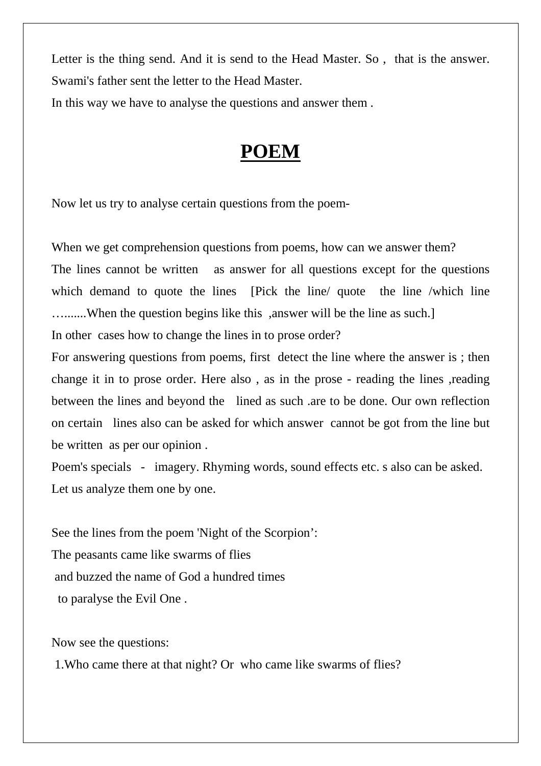Letter is the thing send. And it is send to the Head Master. So , that is the answer. Swami's father sent the letter to the Head Master.

In this way we have to analyse the questions and answer them .

## **POEM**

Now let us try to analyse certain questions from the poem-

When we get comprehension questions from poems, how can we answer them? The lines cannot be written as answer for all questions except for the questions which demand to quote the lines [Pick the line/ quote the line /which line ….......When the question begins like this ,answer will be the line as such.] In other cases how to change the lines in to prose order?

For answering questions from poems, first detect the line where the answer is ; then change it in to prose order. Here also , as in the prose - reading the lines ,reading between the lines and beyond the lined as such .are to be done. Our own reflection on certain lines also can be asked for which answer cannot be got from the line but be written as per our opinion .

Poem's specials - imagery. Rhyming words, sound effects etc. s also can be asked. Let us analyze them one by one.

See the lines from the poem 'Night of the Scorpion': The peasants came like swarms of flies and buzzed the name of God a hundred times to paralyse the Evil One .

Now see the questions:

1.Who came there at that night? Or who came like swarms of flies?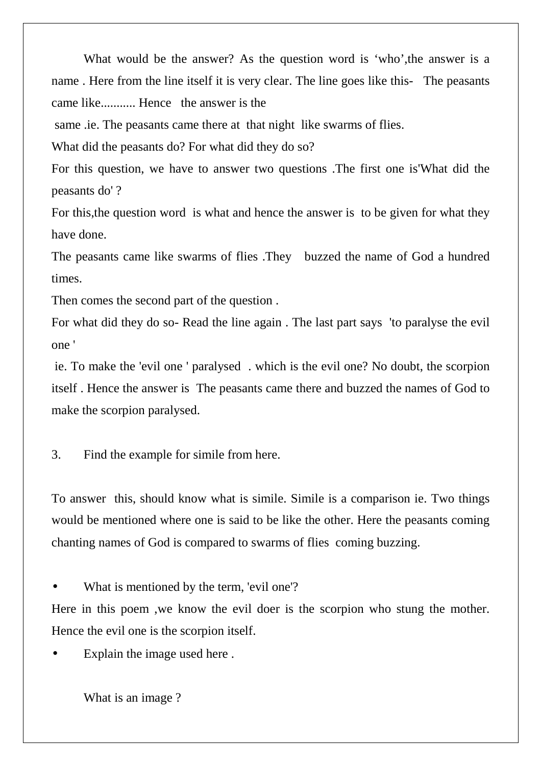What would be the answer? As the question word is 'who',the answer is a name. Here from the line itself it is very clear. The line goes like this- The peasants came like........... Hence the answer is the

same .ie. The peasants came there at that night like swarms of flies.

What did the peasants do? For what did they do so?

For this question, we have to answer two questions .The first one is'What did the peasants do' ?

For this,the question word is what and hence the answer is to be given for what they have done.

The peasants came like swarms of flies .They buzzed the name of God a hundred times.

Then comes the second part of the question .

For what did they do so- Read the line again . The last part says 'to paralyse the evil one '

 ie. To make the 'evil one ' paralysed . which is the evil one? No doubt, the scorpion itself . Hence the answer is The peasants came there and buzzed the names of God to make the scorpion paralysed.

3. Find the example for simile from here.

To answer this, should know what is simile. Simile is a comparison ie. Two things would be mentioned where one is said to be like the other. Here the peasants coming chanting names of God is compared to swarms of flies coming buzzing.

What is mentioned by the term, 'evil one'?

Here in this poem ,we know the evil doer is the scorpion who stung the mother. Hence the evil one is the scorpion itself.

Explain the image used here.

What is an image ?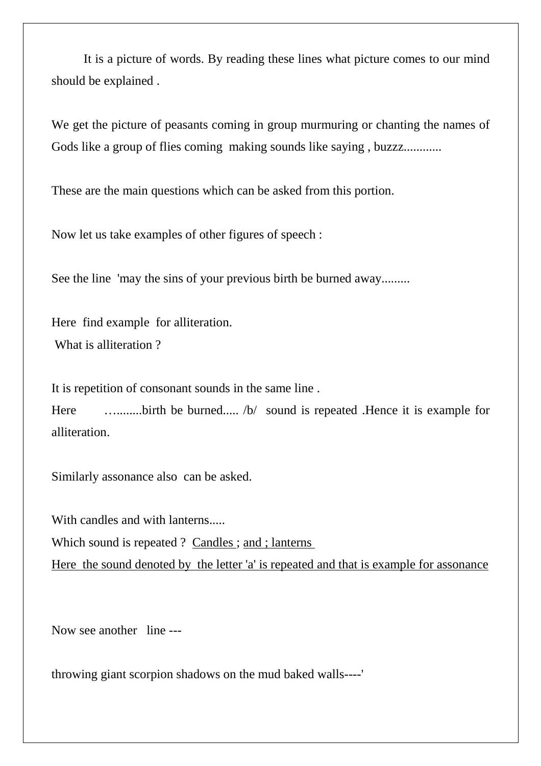It is a picture of words. By reading these lines what picture comes to our mind should be explained .

We get the picture of peasants coming in group murmuring or chanting the names of Gods like a group of flies coming making sounds like saying, buzzz............

These are the main questions which can be asked from this portion.

Now let us take examples of other figures of speech :

See the line 'may the sins of your previous birth be burned away.........

Here find example for alliteration. What is alliteration ?

It is repetition of consonant sounds in the same line .

Here ..........birth be burned..... /b/ sound is repeated .Hence it is example for alliteration.

Similarly assonance also can be asked.

With candles and with lanterns..... Which sound is repeated ? Candles ; and ; lanterns Here the sound denoted by the letter 'a' is repeated and that is example for assonance

Now see another line ---

throwing giant scorpion shadows on the mud baked walls----'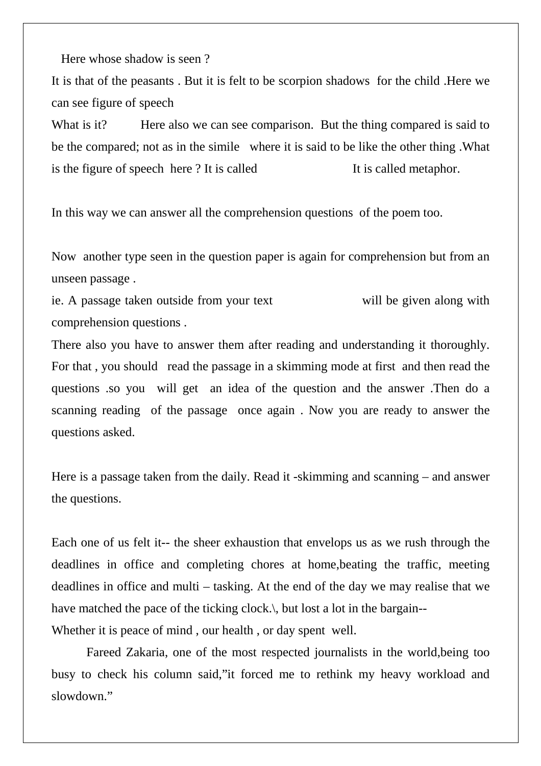Here whose shadow is seen ?

It is that of the peasants . But it is felt to be scorpion shadows for the child .Here we can see figure of speech

What is it? Here also we can see comparison. But the thing compared is said to be the compared; not as in the simile where it is said to be like the other thing .What is the figure of speech here ? It is called It is called metaphor.

In this way we can answer all the comprehension questions of the poem too.

Now another type seen in the question paper is again for comprehension but from an unseen passage .

ie. A passage taken outside from your text will be given along with comprehension questions .

There also you have to answer them after reading and understanding it thoroughly. For that , you should read the passage in a skimming mode at first and then read the questions .so you will get an idea of the question and the answer .Then do a scanning reading of the passage once again . Now you are ready to answer the questions asked.

Here is a passage taken from the daily. Read it -skimming and scanning – and answer the questions.

Each one of us felt it-- the sheer exhaustion that envelops us as we rush through the deadlines in office and completing chores at home,beating the traffic, meeting deadlines in office and multi – tasking. At the end of the day we may realise that we have matched the pace of the ticking clock..., but lost a lot in the bargain--Whether it is peace of mind , our health , or day spent well.

 Fareed Zakaria, one of the most respected journalists in the world,being too busy to check his column said,"it forced me to rethink my heavy workload and slowdown."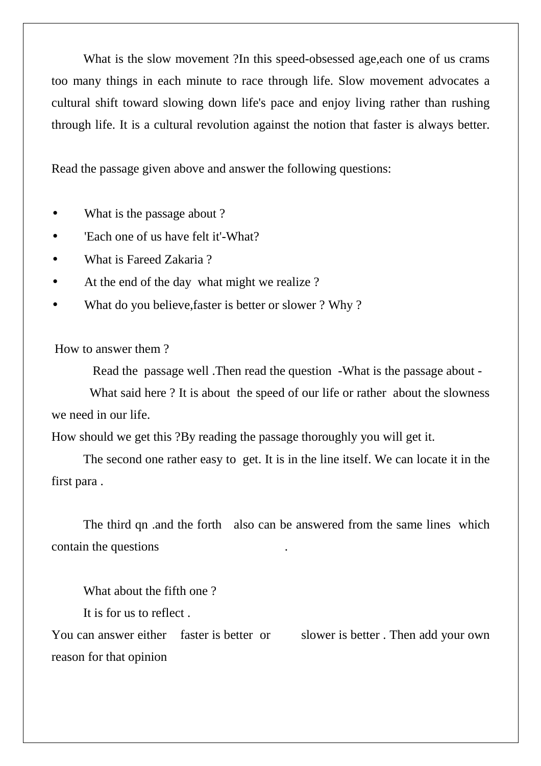What is the slow movement ?In this speed-obsessed age, each one of us crams too many things in each minute to race through life. Slow movement advocates a cultural shift toward slowing down life's pace and enjoy living rather than rushing through life. It is a cultural revolution against the notion that faster is always better.

Read the passage given above and answer the following questions:

- What is the passage about ?
- 'Each one of us have felt it'-What?
- What is Fareed Zakaria ?
- At the end of the day what might we realize?
- What do you believe, faster is better or slower? Why?

How to answer them ?

Read the passage well .Then read the question -What is the passage about -

What said here ? It is about the speed of our life or rather about the slowness we need in our life.

How should we get this ?By reading the passage thoroughly you will get it.

 The second one rather easy to get. It is in the line itself. We can locate it in the first para .

 The third qn .and the forth also can be answered from the same lines which contain the questions .

What about the fifth one ?

It is for us to reflect .

You can answer either faster is better or slower is better. Then add your own reason for that opinion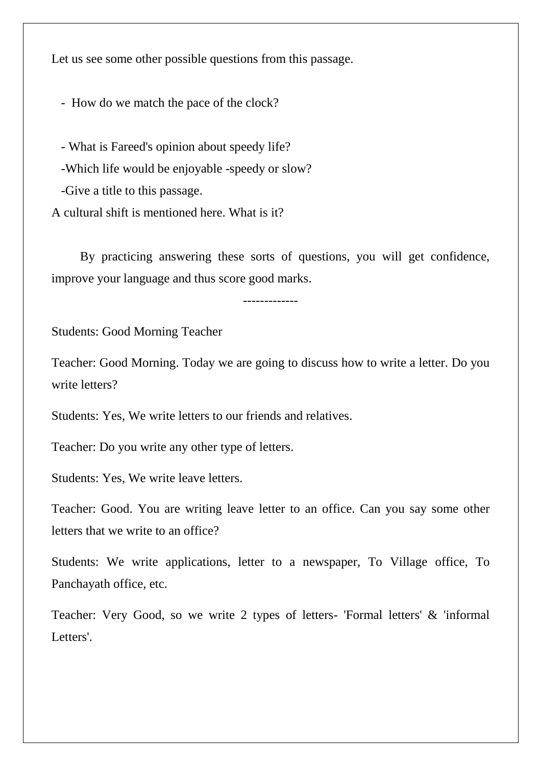Let us see some other possible questions from this passage.

- How do we match the pace of the clock?

- What is Fareed's opinion about speedy life?

-Which life would be enjoyable -speedy or slow?

-Give a title to this passage.

A cultural shift is mentioned here. What is it?

 By practicing answering these sorts of questions, you will get confidence, improve your language and thus score good marks.

-------------

Students: Good Morning Teacher

Teacher: Good Morning. Today we are going to discuss how to write a letter. Do you write letters?

Students: Yes, We write letters to our friends and relatives.

Teacher: Do you write any other type of letters.

Students: Yes, We write leave letters.

Teacher: Good. You are writing leave letter to an office. Can you say some other letters that we write to an office?

Students: We write applications, letter to a newspaper, To Village office, To Panchayath office, etc.

Teacher: Very Good, so we write 2 types of letters- 'Formal letters' & 'informal Letters'.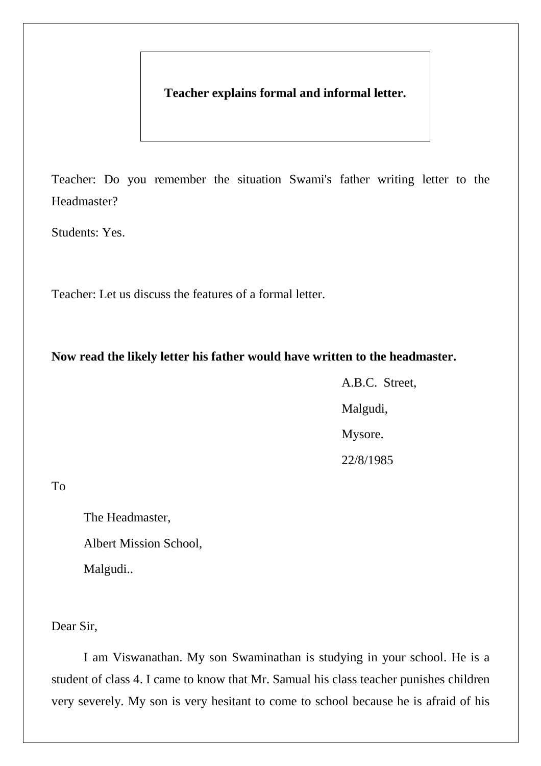Teacher: Do you remember the situation Swami's father writing letter to the Headmaster?

Students: Yes.

Teacher: Let us discuss the features of a formal letter.

#### **Now read the likely letter his father would have written to the headmaster.**

A.B.C. Street, Malgudi, Mysore. 22/8/1985

To

The Headmaster,

Albert Mission School,

Malgudi..

Dear Sir,

 I am Viswanathan. My son Swaminathan is studying in your school. He is a student of class 4. I came to know that Mr. Samual his class teacher punishes children very severely. My son is very hesitant to come to school because he is afraid of his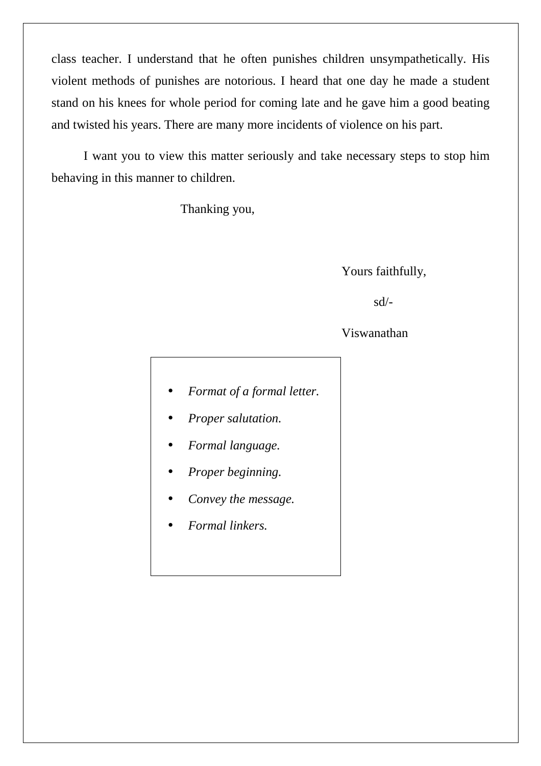class teacher. I understand that he often punishes children unsympathetically. His violent methods of punishes are notorious. I heard that one day he made a student stand on his knees for whole period for coming late and he gave him a good beating and twisted his years. There are many more incidents of violence on his part.

 I want you to view this matter seriously and take necessary steps to stop him behaving in this manner to children.

Thanking you,

Yours faithfully,

sd/-

#### Viswanathan

- *Format of a formal letter.*
- *Proper salutation.*
- *Formal language.*
- *Proper beginning.*
- *Convey the message.*
- *Formal linkers.*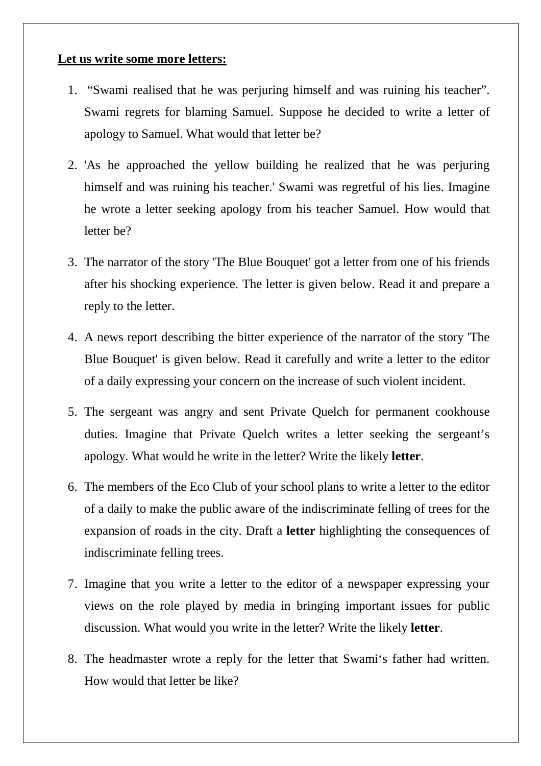#### **Let us write some more letters:**

- 1. "Swami realised that he was perjuring himself and was ruining his teacher". Swami regrets for blaming Samuel. Suppose he decided to write a letter of apology to Samuel. What would that letter be?
- 2. 'As he approached the yellow building he realized that he was perjuring himself and was ruining his teacher.' Swami was regretful of his lies. Imagine he wrote a letter seeking apology from his teacher Samuel. How would that letter be?
- 3. The narrator of the story 'The Blue Bouquet' got a letter from one of his friends after his shocking experience. The letter is given below. Read it and prepare a reply to the letter.
- 4. A news report describing the bitter experience of the narrator of the story 'The Blue Bouquet' is given below. Read it carefully and write a letter to the editor of a daily expressing your concern on the increase of such violent incident.
- 5. The sergeant was angry and sent Private Quelch for permanent cookhouse duties. Imagine that Private Quelch writes a letter seeking the sergeant's apology. What would he write in the letter? Write the likely **letter**.
- 6. The members of the Eco Club of your school plans to write a letter to the editor of a daily to make the public aware of the indiscriminate felling of trees for the expansion of roads in the city. Draft a **letter** highlighting the consequences of indiscriminate felling trees.
- 7. Imagine that you write a letter to the editor of a newspaper expressing your views on the role played by media in bringing important issues for public discussion. What would you write in the letter? Write the likely **letter**.
- 8. The headmaster wrote a reply for the letter that Swami's father had written. How would that letter be like?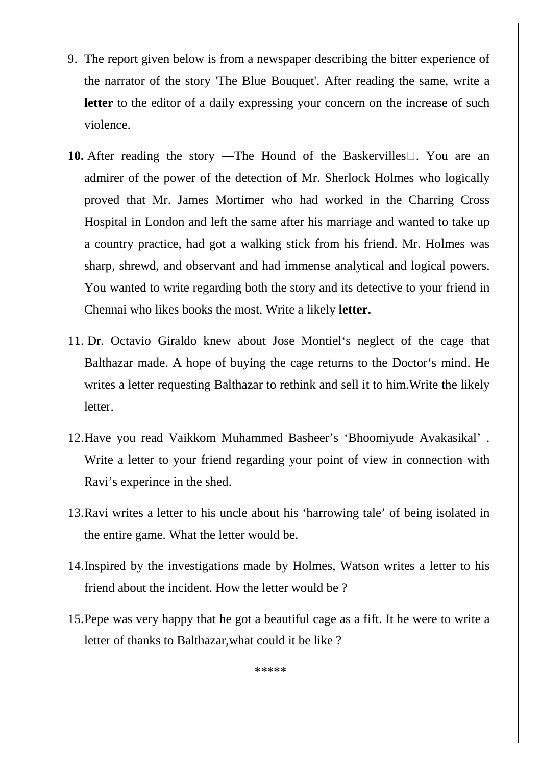- 9. The report given below is from a newspaper describing the bitter experience of the narrator of the story 'The Blue Bouquet'. After reading the same, write a **letter** to the editor of a daily expressing your concern on the increase of such violence.
- **10.** After reading the story —The Hound of the Baskervilles  $\Box$ . You are an admirer of the power of the detection of Mr. Sherlock Holmes who logically proved that Mr. James Mortimer who had worked in the Charring Cross Hospital in London and left the same after his marriage and wanted to take up a country practice, had got a walking stick from his friend. Mr. Holmes was sharp, shrewd, and observant and had immense analytical and logical powers. You wanted to write regarding both the story and its detective to your friend in Chennai who likes books the most. Write a likely **letter.**
- 11. Dr. Octavio Giraldo knew about Jose Montiel's neglect of the cage that Balthazar made. A hope of buying the cage returns to the Doctor's mind. He writes a letter requesting Balthazar to rethink and sell it to him.Write the likely letter.
- 12.Have you read Vaikkom Muhammed Basheer's 'Bhoomiyude Avakasikal' . Write a letter to your friend regarding your point of view in connection with Ravi's experince in the shed.
- 13.Ravi writes a letter to his uncle about his 'harrowing tale' of being isolated in the entire game. What the letter would be.
- 14.Inspired by the investigations made by Holmes, Watson writes a letter to his friend about the incident. How the letter would be ?
- 15.Pepe was very happy that he got a beautiful cage as a fift. It he were to write a letter of thanks to Balthazar,what could it be like ?

\*\*\*\*\*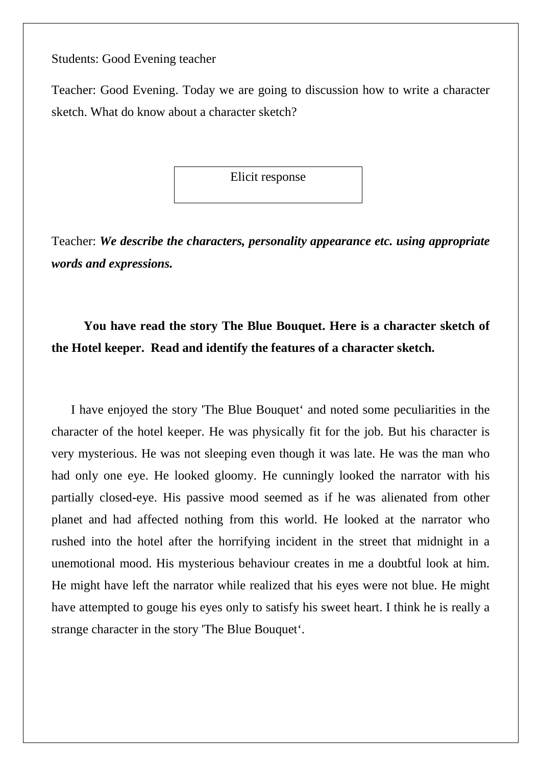Students: Good Evening teacher

Teacher: Good Evening. Today we are going to discussion how to write a character sketch. What do know about a character sketch?

Elicit response

Teacher: *We describe the characters, personality appearance etc. using appropriate words and expressions.* 

### **You have read the story The Blue Bouquet. Here is a character sketch of the Hotel keeper. Read and identify the features of a character sketch.**

 I have enjoyed the story 'The Blue Bouquet' and noted some peculiarities in the character of the hotel keeper. He was physically fit for the job. But his character is very mysterious. He was not sleeping even though it was late. He was the man who had only one eye. He looked gloomy. He cunningly looked the narrator with his partially closed-eye. His passive mood seemed as if he was alienated from other planet and had affected nothing from this world. He looked at the narrator who rushed into the hotel after the horrifying incident in the street that midnight in a unemotional mood. His mysterious behaviour creates in me a doubtful look at him. He might have left the narrator while realized that his eyes were not blue. He might have attempted to gouge his eyes only to satisfy his sweet heart. I think he is really a strange character in the story 'The Blue Bouquet'.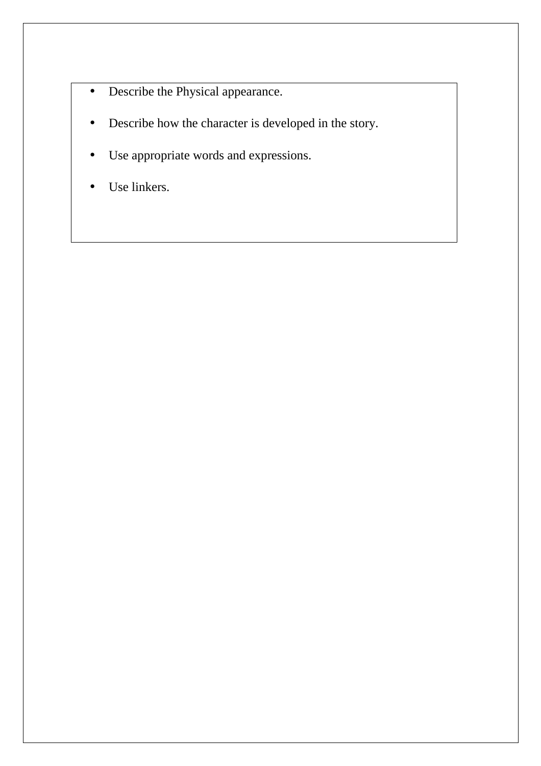- Describe the Physical appearance.
- Describe how the character is developed in the story.
- Use appropriate words and expressions.
- Use linkers.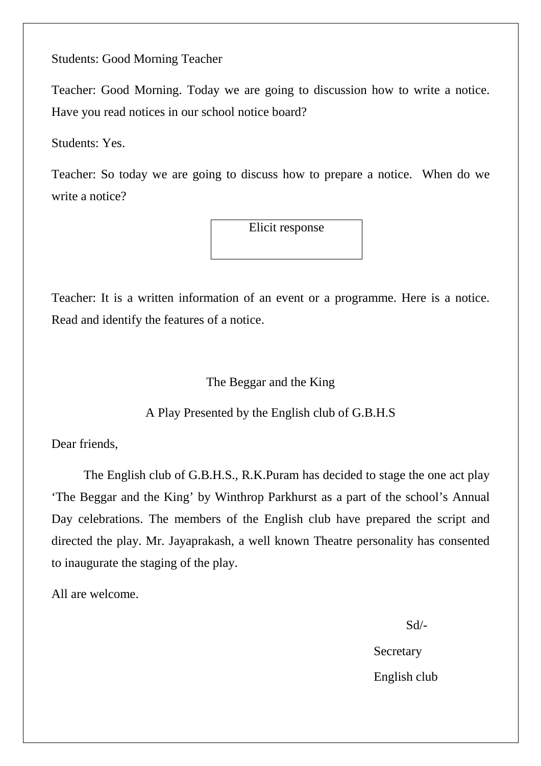#### Students: Good Morning Teacher

Teacher: Good Morning. Today we are going to discussion how to write a notice. Have you read notices in our school notice board?

Students: Yes.

Teacher: So today we are going to discuss how to prepare a notice. When do we write a notice?

Elicit response

Teacher: It is a written information of an event or a programme. Here is a notice. Read and identify the features of a notice.

#### The Beggar and the King

A Play Presented by the English club of G.B.H.S

Dear friends,

 The English club of G.B.H.S., R.K.Puram has decided to stage the one act play 'The Beggar and the King' by Winthrop Parkhurst as a part of the school's Annual Day celebrations. The members of the English club have prepared the script and directed the play. Mr. Jayaprakash, a well known Theatre personality has consented to inaugurate the staging of the play.

All are welcome.

Sd/-

**Secretary** 

English club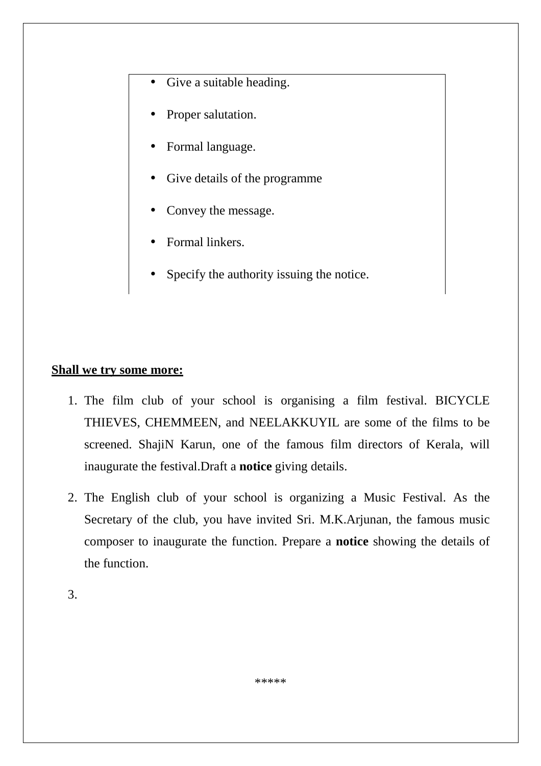- Give a suitable heading.
- Proper salutation.
- Formal language.
- Give details of the programme
- Convey the message.
- Formal linkers.
- Specify the authority issuing the notice.

#### **Shall we try some more:**

- 1. The film club of your school is organising a film festival. BICYCLE THIEVES, CHEMMEEN, and NEELAKKUYIL are some of the films to be screened. ShajiN Karun, one of the famous film directors of Kerala, will inaugurate the festival.Draft a **notice** giving details.
- 2. The English club of your school is organizing a Music Festival. As the Secretary of the club, you have invited Sri. M.K.Arjunan, the famous music composer to inaugurate the function. Prepare a **notice** showing the details of the function.

3.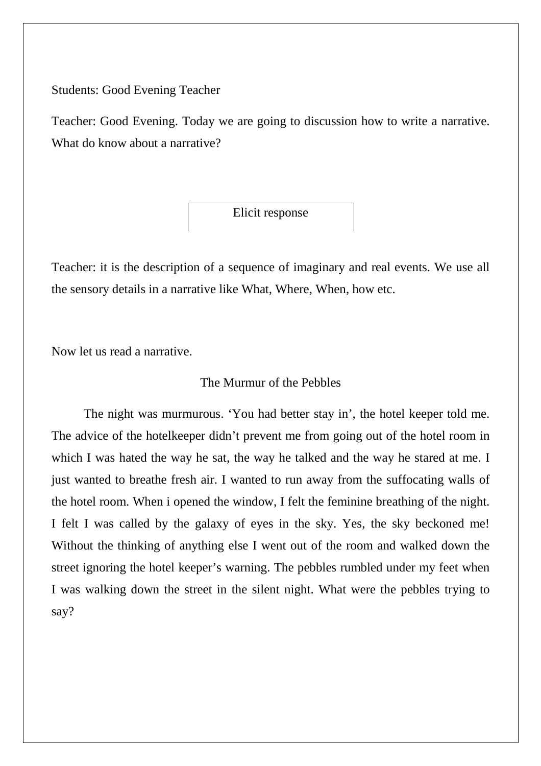Students: Good Evening Teacher

Teacher: Good Evening. Today we are going to discussion how to write a narrative. What do know about a narrative?

Elicit response

Teacher: it is the description of a sequence of imaginary and real events. We use all the sensory details in a narrative like What, Where, When, how etc.

Now let us read a narrative.

#### The Murmur of the Pebbles

 The night was murmurous. 'You had better stay in', the hotel keeper told me. The advice of the hotelkeeper didn't prevent me from going out of the hotel room in which I was hated the way he sat, the way he talked and the way he stared at me. I just wanted to breathe fresh air. I wanted to run away from the suffocating walls of the hotel room. When i opened the window, I felt the feminine breathing of the night. I felt I was called by the galaxy of eyes in the sky. Yes, the sky beckoned me! Without the thinking of anything else I went out of the room and walked down the street ignoring the hotel keeper's warning. The pebbles rumbled under my feet when I was walking down the street in the silent night. What were the pebbles trying to say?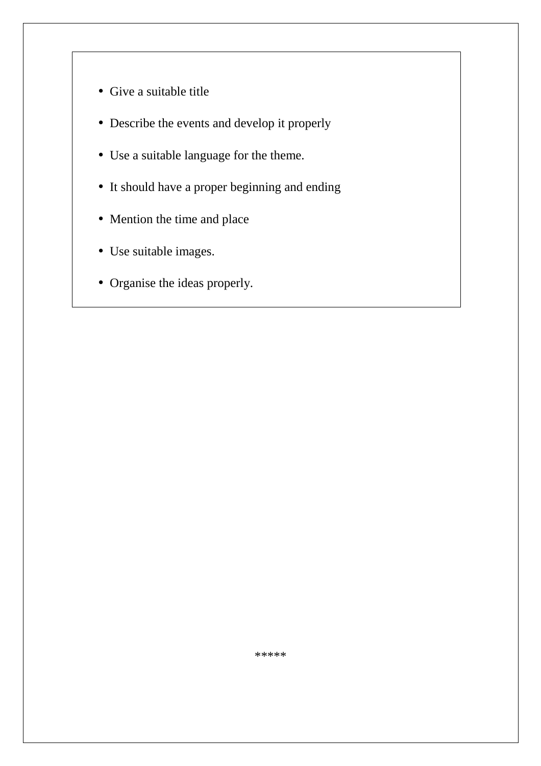- Give a suitable title
- Describe the events and develop it properly
- Use a suitable language for the theme.
- It should have a proper beginning and ending
- Mention the time and place
- Use suitable images.
- Organise the ideas properly.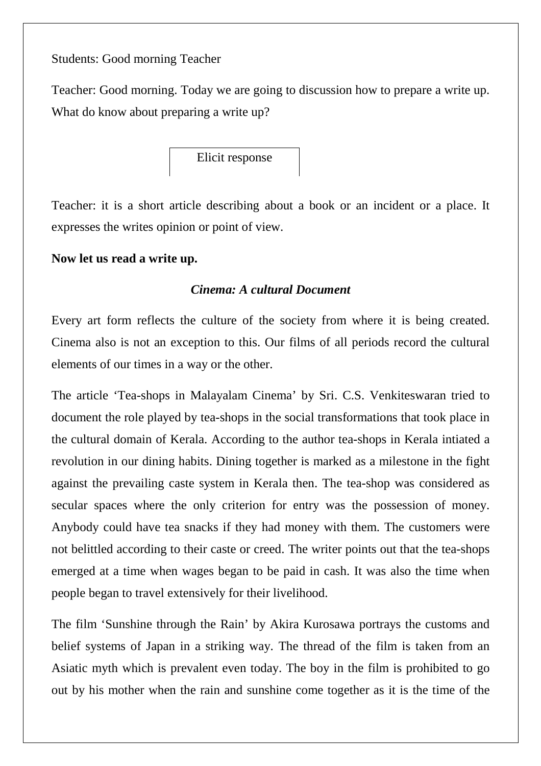Students: Good morning Teacher

Teacher: Good morning. Today we are going to discussion how to prepare a write up. What do know about preparing a write up?

Elicit response

Teacher: it is a short article describing about a book or an incident or a place. It expresses the writes opinion or point of view.

#### **Now let us read a write up.**

#### *Cinema: A cultural Document*

Every art form reflects the culture of the society from where it is being created. Cinema also is not an exception to this. Our films of all periods record the cultural elements of our times in a way or the other.

The article 'Tea-shops in Malayalam Cinema' by Sri. C.S. Venkiteswaran tried to document the role played by tea-shops in the social transformations that took place in the cultural domain of Kerala. According to the author tea-shops in Kerala intiated a revolution in our dining habits. Dining together is marked as a milestone in the fight against the prevailing caste system in Kerala then. The tea-shop was considered as secular spaces where the only criterion for entry was the possession of money. Anybody could have tea snacks if they had money with them. The customers were not belittled according to their caste or creed. The writer points out that the tea-shops emerged at a time when wages began to be paid in cash. It was also the time when people began to travel extensively for their livelihood.

The film 'Sunshine through the Rain' by Akira Kurosawa portrays the customs and belief systems of Japan in a striking way. The thread of the film is taken from an Asiatic myth which is prevalent even today. The boy in the film is prohibited to go out by his mother when the rain and sunshine come together as it is the time of the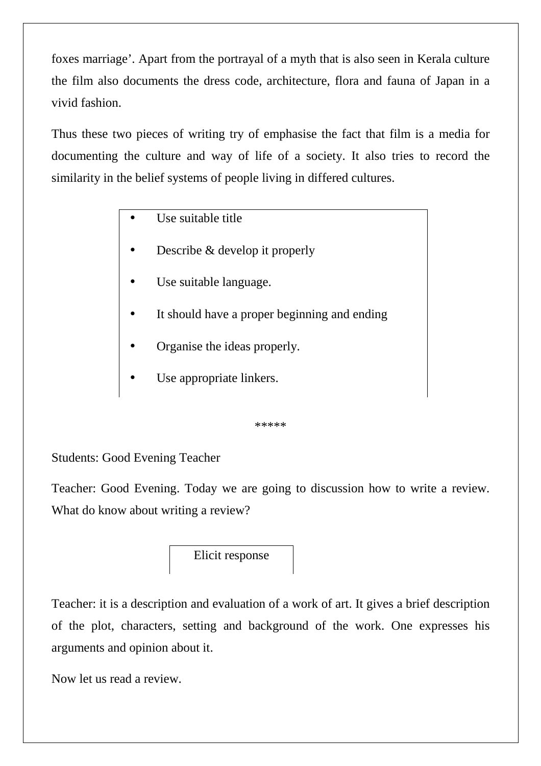foxes marriage'. Apart from the portrayal of a myth that is also seen in Kerala culture the film also documents the dress code, architecture, flora and fauna of Japan in a vivid fashion.

Thus these two pieces of writing try of emphasise the fact that film is a media for documenting the culture and way of life of a society. It also tries to record the similarity in the belief systems of people living in differed cultures.

- Use suitable title
- Describe & develop it properly
- Use suitable language.
- It should have a proper beginning and ending
- Organise the ideas properly.
- Use appropriate linkers.

\*\*\*\*\*

Students: Good Evening Teacher

Teacher: Good Evening. Today we are going to discussion how to write a review. What do know about writing a review?

### Elicit response

Teacher: it is a description and evaluation of a work of art. It gives a brief description of the plot, characters, setting and background of the work. One expresses his arguments and opinion about it.

Now let us read a review.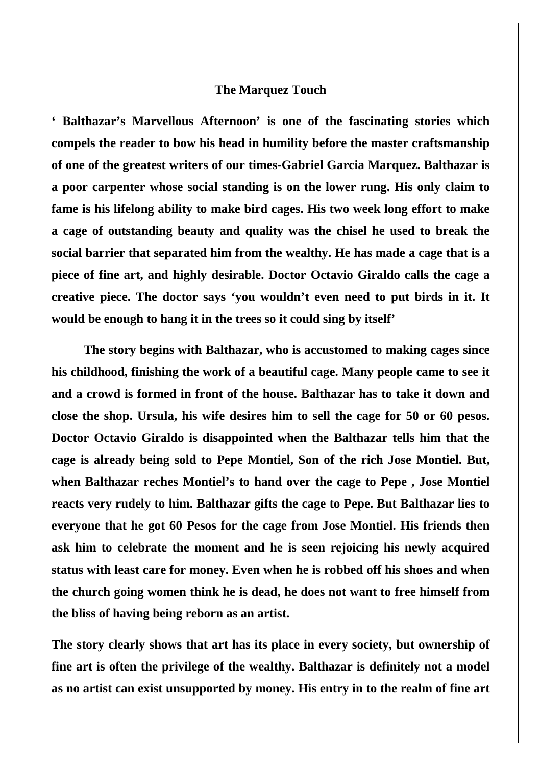#### **The Marquez Touch**

**' Balthazar's Marvellous Afternoon' is one of the fascinating stories which compels the reader to bow his head in humility before the master craftsmanship of one of the greatest writers of our times-Gabriel Garcia Marquez. Balthazar is a poor carpenter whose social standing is on the lower rung. His only claim to fame is his lifelong ability to make bird cages. His two week long effort to make a cage of outstanding beauty and quality was the chisel he used to break the social barrier that separated him from the wealthy. He has made a cage that is a piece of fine art, and highly desirable. Doctor Octavio Giraldo calls the cage a creative piece. The doctor says 'you wouldn't even need to put birds in it. It would be enough to hang it in the trees so it could sing by itself'** 

 **The story begins with Balthazar, who is accustomed to making cages since his childhood, finishing the work of a beautiful cage. Many people came to see it and a crowd is formed in front of the house. Balthazar has to take it down and close the shop. Ursula, his wife desires him to sell the cage for 50 or 60 pesos. Doctor Octavio Giraldo is disappointed when the Balthazar tells him that the cage is already being sold to Pepe Montiel, Son of the rich Jose Montiel. But, when Balthazar reches Montiel's to hand over the cage to Pepe , Jose Montiel reacts very rudely to him. Balthazar gifts the cage to Pepe. But Balthazar lies to everyone that he got 60 Pesos for the cage from Jose Montiel. His friends then ask him to celebrate the moment and he is seen rejoicing his newly acquired status with least care for money. Even when he is robbed off his shoes and when the church going women think he is dead, he does not want to free himself from the bliss of having being reborn as an artist.** 

**The story clearly shows that art has its place in every society, but ownership of fine art is often the privilege of the wealthy. Balthazar is definitely not a model as no artist can exist unsupported by money. His entry in to the realm of fine art**